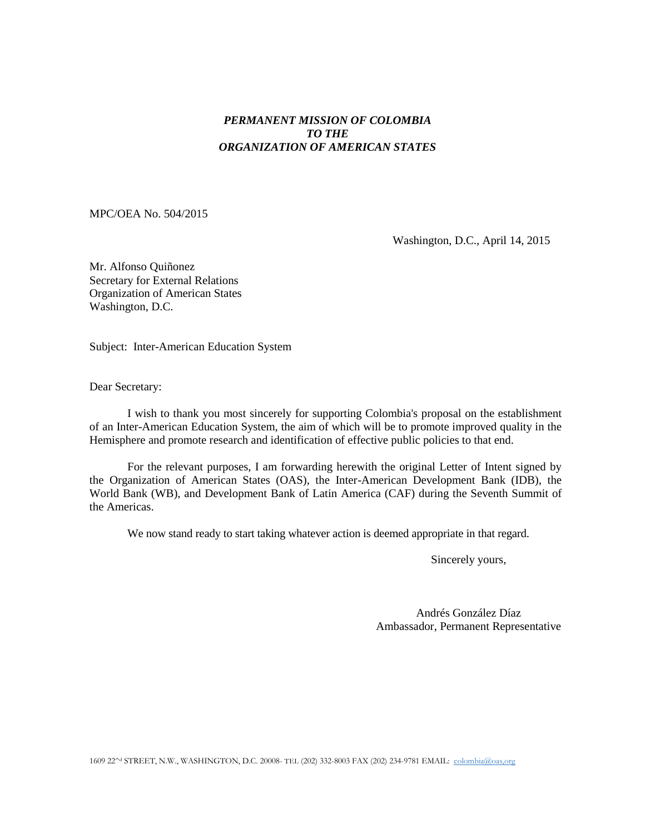## *PERMANENT MISSION OF COLOMBIA TO THE ORGANIZATION OF AMERICAN STATES*

MPC/OEA No. 504/2015

Washington, D.C., April 14, 2015

Mr. Alfonso Quiñonez Secretary for External Relations Organization of American States Washington, D.C.

Subject: Inter-American Education System

Dear Secretary:

I wish to thank you most sincerely for supporting Colombia's proposal on the establishment of an Inter-American Education System, the aim of which will be to promote improved quality in the Hemisphere and promote research and identification of effective public policies to that end.

For the relevant purposes, I am forwarding herewith the original Letter of Intent signed by the Organization of American States (OAS), the Inter-American Development Bank (IDB), the World Bank (WB), and Development Bank of Latin America (CAF) during the Seventh Summit of the Americas.

We now stand ready to start taking whatever action is deemed appropriate in that regard.

Sincerely yours,

Andrés González Díaz Ambassador, Permanent Representative